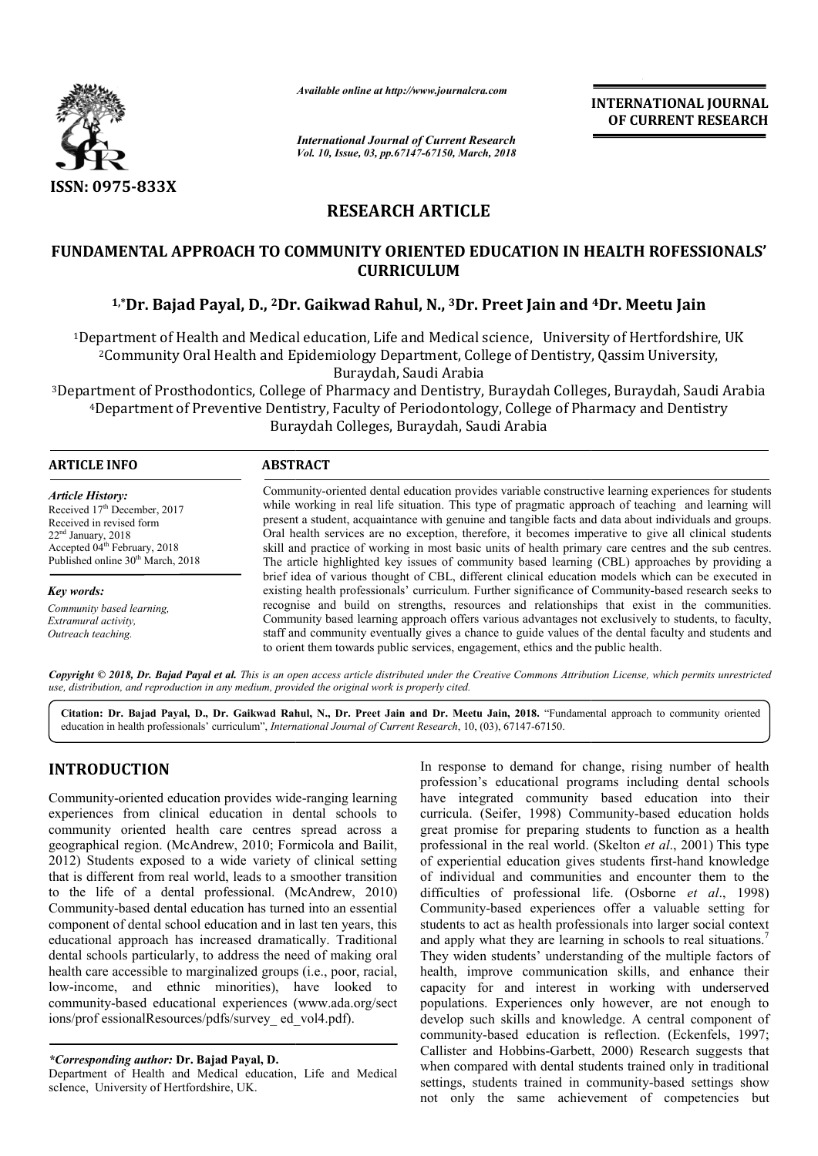

*Available online at http://www.journalcra.com*

*International Journal of Current Research Vol. 10, Issue, 03, pp.67147-67150, March, 2018* **INTERNATIONAL JOURNAL OF CURRENT RESEARCH**

# **RESEARCH ARTICLE**

## **FUNDAMENTAL APPROACH TO COMMUNITY ORIENTED EDUCATION IN HEALTH ROFESSIONALS' CURRICULUM**

# **1,\*Dr. Bajad Payal, D., 2Dr. Gaikwad Rahul, N., Dr. 3Dr. Preet Jain and Dr. Jain and 4Dr. Meetu Jain**

1Department of Health and Medical education, Life and Medical science, University of Hertfordshire, UK Department Community Buraydah, Saudi Arabia 2Community Oral Health and Epidemiology Department, College of Dentistry, Qassim University, artment of Health and Medical education, Life and Medical science, University<br>Community Oral Health and Epidemiology Department, College of Dentistry, Qa<br>Buraydah, Saudi Arabia<br>ment of Prosthodontics, College of Pharmacy a

3Department of Prosthodontics, College of Pharmacy and Dentistry, Buraydah Colleges, Buraydah, Saudi Arabia rtment of Prosthodontics, College of Pharmacy and Dentistry, Buraydah Colleges, Buraydah, Saudi A<br>4Department of Preventive Dentistry, Faculty of Periodontology, College of Pharmacy and Dentistry Buraydah Colleges, Buraydah, Saudi Arabia

| <b>ARTICLE INFO</b>                                                                                                                                                                                                  | <b>ABSTRACT</b>                                                                                                                                                                                                                                                                                                                                                                                                                                                                                                                         |
|----------------------------------------------------------------------------------------------------------------------------------------------------------------------------------------------------------------------|-----------------------------------------------------------------------------------------------------------------------------------------------------------------------------------------------------------------------------------------------------------------------------------------------------------------------------------------------------------------------------------------------------------------------------------------------------------------------------------------------------------------------------------------|
| <b>Article History:</b><br>Received 17 <sup>th</sup> December, 2017<br>Received in revised form<br>$22nd$ January, 2018<br>Accepted 04 <sup>th</sup> February, 2018<br>Published online 30 <sup>th</sup> March, 2018 | Community-oriented dental education provides variable constructive learning experiences for students<br>while working in real life situation. This type of pragmatic approach of teaching and learning will<br>present a student, acquaintance with genuine and tangible facts and data about individuals and groups.<br>Oral health services are no exception, therefore, it becomes imperative to give all clinical students<br>skill and practice of working in most basic units of health primary care centres and the sub centres. |
|                                                                                                                                                                                                                      | The article highlighted key issues of community based learning (CBL) approaches by providing a<br>brief idea of various thought of CBL, different clinical education models which can be executed in                                                                                                                                                                                                                                                                                                                                    |
| Key words:                                                                                                                                                                                                           | existing health professionals' curriculum. Further significance of Community-based research seeks to                                                                                                                                                                                                                                                                                                                                                                                                                                    |
| Community based learning.<br>Extramural activity,<br>Outreach teaching.                                                                                                                                              | recognise and build on strengths, resources and relationships that exist in the communities.<br>Community based learning approach offers various advantages not exclusively to students, to faculty,<br>staff and community eventually gives a chance to guide values of the dental faculty and students and<br>to orient them towards public services, engagement, ethics and the public health.                                                                                                                                       |

Copyright © 2018, Dr. Bajad Payal et al. This is an open access article distributed under the Creative Commons Attribution License, which permits unrestricted *use, distribution, and reproduction in any medium, provided the original work is properly cited.*

Citation: Dr. Bajad Payal, D., Dr. Gaikwad Rahul, N., Dr. Preet Jain and Dr. Meetu Jain, 2018. "Fundamental approach to community oriented education in health professionals' curriculum", *International Journal of Current Research* , 10, (03), 67147-67150.

# **INTRODUCTION**

Community-oriented education provides wide-ranging learning experiences from clinical education in dental schools to community oriented health care centres spread across a geographical region. (McAndrew, 2010; Formicola and Bailit, 2012) Students exposed to a wide variety of clinical setting that is different from real world, leads to a smoother transition to the life of a dental professional. (McAndrew, 2010) Community-based dental education has turned into an essential component of dental school education and in last ten years, this educational approach has increased dramatically. Traditional dental schools particularly, to address the need of making oral health care accessible to marginalized groups (i.e., poor, racial, low-income, and ethnic minorities), have looked to low-income, and ethnic minorities), have looked to<br>community-based educational experiences (www.ada.org/sect ions/prof essionalResources/pdfs/survey\_ed\_vol4.pdf).

Department of Health and Medical education, Life and Medical scIence, University of Hertfordshire, UK.

In response to demand for change, rising number of health profession's educational programs including dental schools In response to demand for change, rising number of health profession's educational programs including dental schools have integrated community based education into their curricula. (Seifer, 1998) Community-based education holds great promise for preparing students to function as a health great promise for preparing students to function as a health professional in the real world. (Skelton *et al.*, 2001) This type of experiential education gives students first-hand knowledge of individual and communities and encounter them to the difficulties of professional life. (Osborne *et al*., 1998) Community-based experiences offer a valuable setting for students to act as health professionals into larger social context and apply what they are learning in schools to real situations.<sup>7</sup> They widen students' understanding of the multiple factors of health, improve communication skills, and enhance their capacity for and interest in working with underserved They widen students' understanding of the multiple factors of health, improve communication skills, and enhance their capacity for and interest in working with underserved populations. Experiences only however, are not eno develop such skills and knowledge. A central component of community-based education is reflection. (Eckenfels, 1997; Callister and Hobbins-Garbett Garbett, 2000) Research suggests that when compared with dental students trained only in traditional settings, students trained in community-based settings show not only the same achievement of competencies but hased experiences offer a valuable setting for<br>to act as health professionals into larger social context<br>y what they are learning in schools to real situations.<sup>7</sup>

*<sup>\*</sup>Corresponding author:* **Dr. Bajad Payal, D.**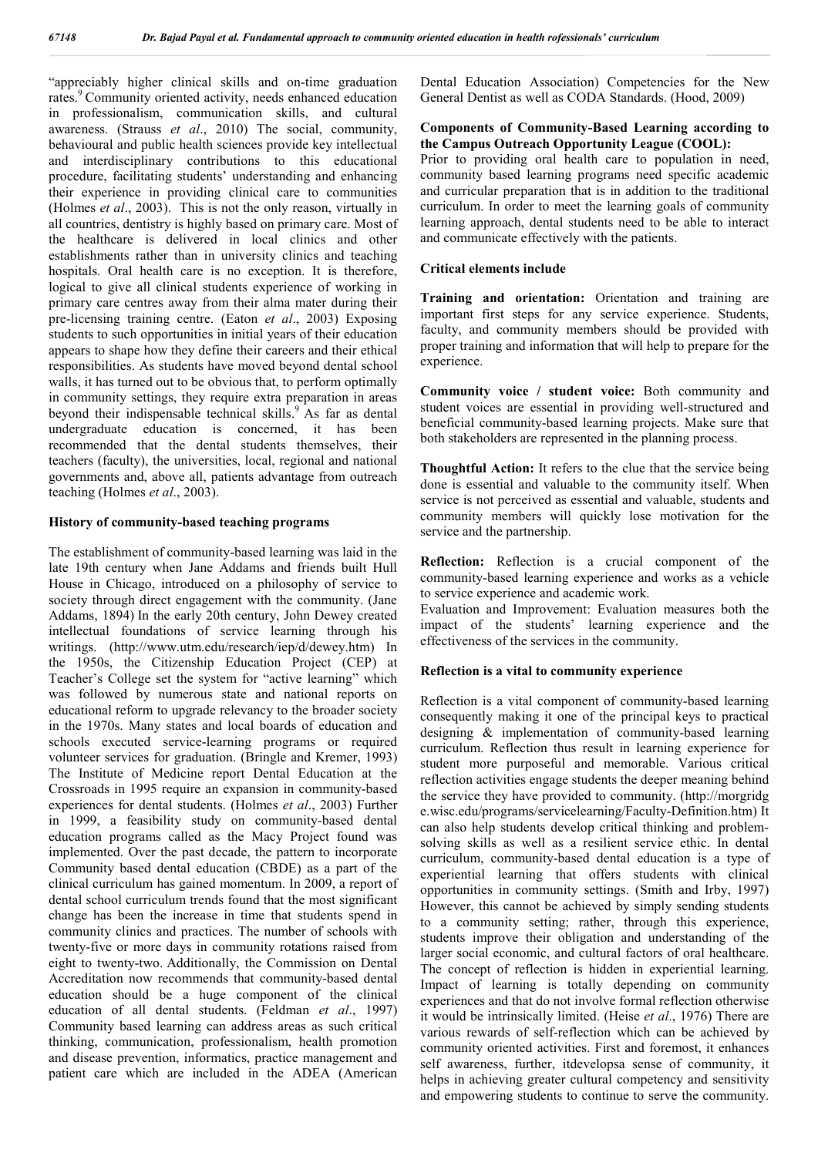"appreciably higher clinical skills and on-time graduation rates.<sup>9</sup> Community oriented activity, needs enhanced education in professionalism, communication skills, and cultural awareness. (Strauss *et al*., 2010) The social, community, behavioural and public health sciences provide key intellectual and interdisciplinary contributions to this educational procedure, facilitating students' understanding and enhancing their experience in providing clinical care to communities (Holmes *et al*., 2003). This is not the only reason, virtually in all countries, dentistry is highly based on primary care. Most of the healthcare is delivered in local clinics and other establishments rather than in university clinics and teaching hospitals. Oral health care is no exception. It is therefore, logical to give all clinical students experience of working in primary care centres away from their alma mater during their pre-licensing training centre. (Eaton *et al*., 2003) Exposing students to such opportunities in initial years of their education appears to shape how they define their careers and their ethical responsibilities. As students have moved beyond dental school walls, it has turned out to be obvious that, to perform optimally in community settings, they require extra preparation in areas beyond their indispensable technical skills.<sup>9</sup> As far as dental undergraduate education is concerned, it has been recommended that the dental students themselves, their teachers (faculty), the universities, local, regional and national governments and, above all, patients advantage from outreach teaching (Holmes *et al*., 2003).

### **History of community-based teaching programs**

The establishment of community-based learning was laid in the late 19th century when Jane Addams and friends built Hull House in Chicago, introduced on a philosophy of service to society through direct engagement with the community. (Jane Addams, 1894) In the early 20th century, John Dewey created intellectual foundations of service learning through his writings. (http://www.utm.edu/research/iep/d/dewey.htm) In the 1950s, the Citizenship Education Project (CEP) at Teacher's College set the system for "active learning" which was followed by numerous state and national reports on educational reform to upgrade relevancy to the broader society in the 1970s. Many states and local boards of education and schools executed service-learning programs or required volunteer services for graduation. (Bringle and Kremer, 1993) The Institute of Medicine report Dental Education at the Crossroads in 1995 require an expansion in community-based experiences for dental students. (Holmes *et al*., 2003) Further in 1999, a feasibility study on community-based dental education programs called as the Macy Project found was implemented. Over the past decade, the pattern to incorporate Community based dental education (CBDE) as a part of the clinical curriculum has gained momentum. In 2009, a report of dental school curriculum trends found that the most significant change has been the increase in time that students spend in community clinics and practices. The number of schools with twenty-five or more days in community rotations raised from eight to twenty-two. Additionally, the Commission on Dental Accreditation now recommends that community-based dental education should be a huge component of the clinical education of all dental students. (Feldman *et al*., 1997) Community based learning can address areas as such critical thinking, communication, professionalism, health promotion and disease prevention, informatics, practice management and patient care which are included in the ADEA (American Dental Education Association) Competencies for the New General Dentist as well as CODA Standards. (Hood, 2009)

### **Components of Community-Based Learning according to the Campus Outreach Opportunity League (COOL):**

Prior to providing oral health care to population in need, community based learning programs need specific academic and curricular preparation that is in addition to the traditional curriculum. In order to meet the learning goals of community learning approach, dental students need to be able to interact and communicate effectively with the patients.

### **Critical elements include**

**Training and orientation:** Orientation and training are important first steps for any service experience. Students, faculty, and community members should be provided with proper training and information that will help to prepare for the experience.

**Community voice / student voice:** Both community and student voices are essential in providing well-structured and beneficial community-based learning projects. Make sure that both stakeholders are represented in the planning process.

**Thoughtful Action:** It refers to the clue that the service being done is essential and valuable to the community itself. When service is not perceived as essential and valuable, students and community members will quickly lose motivation for the service and the partnership.

**Reflection:** Reflection is a crucial component of the community-based learning experience and works as a vehicle to service experience and academic work.

Evaluation and Improvement: Evaluation measures both the impact of the students' learning experience and the effectiveness of the services in the community.

### **Reflection is a vital to community experience**

Reflection is a vital component of community-based learning consequently making it one of the principal keys to practical designing & implementation of community-based learning curriculum. Reflection thus result in learning experience for student more purposeful and memorable. Various critical reflection activities engage students the deeper meaning behind the service they have provided to community. (http://morgridg e.wisc.edu/programs/servicelearning/Faculty-Definition.htm) It can also help students develop critical thinking and problemsolving skills as well as a resilient service ethic. In dental curriculum, community-based dental education is a type of experiential learning that offers students with clinical opportunities in community settings. (Smith and Irby, 1997) However, this cannot be achieved by simply sending students to a community setting; rather, through this experience, students improve their obligation and understanding of the larger social economic, and cultural factors of oral healthcare. The concept of reflection is hidden in experiential learning. Impact of learning is totally depending on community experiences and that do not involve formal reflection otherwise it would be intrinsically limited. (Heise *et al*., 1976) There are various rewards of self-reflection which can be achieved by community oriented activities. First and foremost, it enhances self awareness, further, itdevelopsa sense of community, it helps in achieving greater cultural competency and sensitivity and empowering students to continue to serve the community.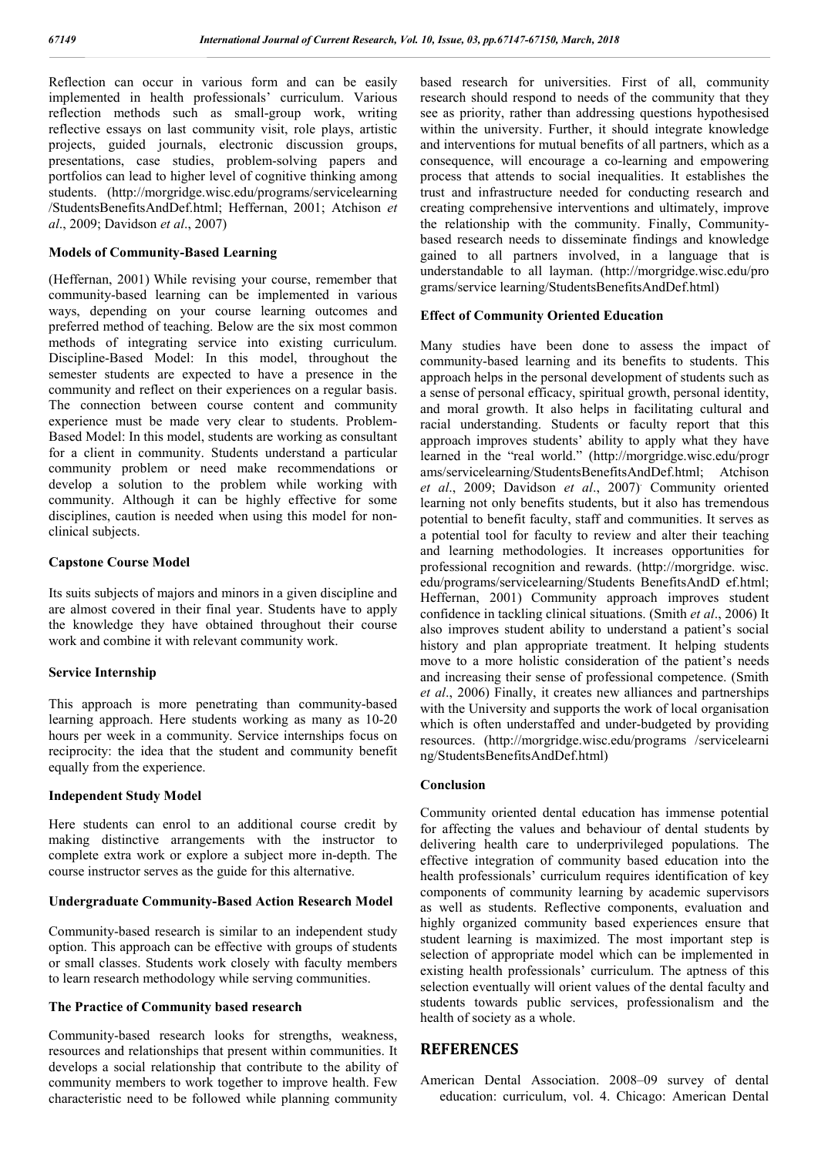Reflection can occur in various form and can be easily implemented in health professionals' curriculum. Various reflection methods such as small-group work, writing reflective essays on last community visit, role plays, artistic projects, guided journals, electronic discussion groups, presentations, case studies, problem-solving papers and portfolios can lead to higher level of cognitive thinking among students. (http://morgridge.wisc.edu/programs/servicelearning /StudentsBenefitsAndDef.html; Heffernan, 2001; Atchison *et al*., 2009; Davidson *et al*., 2007)

### **Models of Community-Based Learning**

(Heffernan, 2001) While revising your course, remember that community-based learning can be implemented in various ways, depending on your course learning outcomes and preferred method of teaching. Below are the six most common methods of integrating service into existing curriculum. Discipline-Based Model: In this model, throughout the semester students are expected to have a presence in the community and reflect on their experiences on a regular basis. The connection between course content and community experience must be made very clear to students. Problem-Based Model: In this model, students are working as consultant for a client in community. Students understand a particular community problem or need make recommendations or develop a solution to the problem while working with community. Although it can be highly effective for some disciplines, caution is needed when using this model for nonclinical subjects.

#### **Capstone Course Model**

Its suits subjects of majors and minors in a given discipline and are almost covered in their final year. Students have to apply the knowledge they have obtained throughout their course work and combine it with relevant community work.

#### **Service Internship**

This approach is more penetrating than community-based learning approach. Here students working as many as 10-20 hours per week in a community. Service internships focus on reciprocity: the idea that the student and community benefit equally from the experience.

### **Independent Study Model**

Here students can enrol to an additional course credit by making distinctive arrangements with the instructor to complete extra work or explore a subject more in-depth. The course instructor serves as the guide for this alternative.

#### **Undergraduate Community-Based Action Research Model**

Community-based research is similar to an independent study option. This approach can be effective with groups of students or small classes. Students work closely with faculty members to learn research methodology while serving communities.

#### **The Practice of Community based research**

Community-based research looks for strengths, weakness, resources and relationships that present within communities. It develops a social relationship that contribute to the ability of community members to work together to improve health. Few characteristic need to be followed while planning community based research for universities. First of all, community research should respond to needs of the community that they see as priority, rather than addressing questions hypothesised within the university. Further, it should integrate knowledge and interventions for mutual benefits of all partners, which as a consequence, will encourage a co-learning and empowering process that attends to social inequalities. It establishes the trust and infrastructure needed for conducting research and creating comprehensive interventions and ultimately, improve the relationship with the community. Finally, Communitybased research needs to disseminate findings and knowledge gained to all partners involved, in a language that is understandable to all layman. (http://morgridge.wisc.edu/pro grams/service learning/StudentsBenefitsAndDef.html)

#### **Effect of Community Oriented Education**

Many studies have been done to assess the impact of community-based learning and its benefits to students. This approach helps in the personal development of students such as a sense of personal efficacy, spiritual growth, personal identity, and moral growth. It also helps in facilitating cultural and racial understanding. Students or faculty report that this approach improves students' ability to apply what they have learned in the "real world." (http://morgridge.wisc.edu/progr ams/servicelearning/StudentsBenefitsAndDef.html; Atchison *et al*., 2009; Davidson *et al*., 2007) . Community oriented learning not only benefits students, but it also has tremendous potential to benefit faculty, staff and communities. It serves as a potential tool for faculty to review and alter their teaching and learning methodologies. It increases opportunities for professional recognition and rewards. (http://morgridge. wisc. edu/programs/servicelearning/Students BenefitsAndD ef.html; Heffernan, 2001) Community approach improves student confidence in tackling clinical situations. (Smith *et al*., 2006) It also improves student ability to understand a patient's social history and plan appropriate treatment. It helping students move to a more holistic consideration of the patient's needs and increasing their sense of professional competence. (Smith *et al*., 2006) Finally, it creates new alliances and partnerships with the University and supports the work of local organisation which is often understaffed and under-budgeted by providing resources. (http://morgridge.wisc.edu/programs /servicelearni ng/StudentsBenefitsAndDef.html)

#### **Conclusion**

Community oriented dental education has immense potential for affecting the values and behaviour of dental students by delivering health care to underprivileged populations. The effective integration of community based education into the health professionals' curriculum requires identification of key components of community learning by academic supervisors as well as students. Reflective components, evaluation and highly organized community based experiences ensure that student learning is maximized. The most important step is selection of appropriate model which can be implemented in existing health professionals' curriculum. The aptness of this selection eventually will orient values of the dental faculty and students towards public services, professionalism and the health of society as a whole.

## **REFERENCES**

American Dental Association. 2008–09 survey of dental education: curriculum, vol. 4. Chicago: American Dental